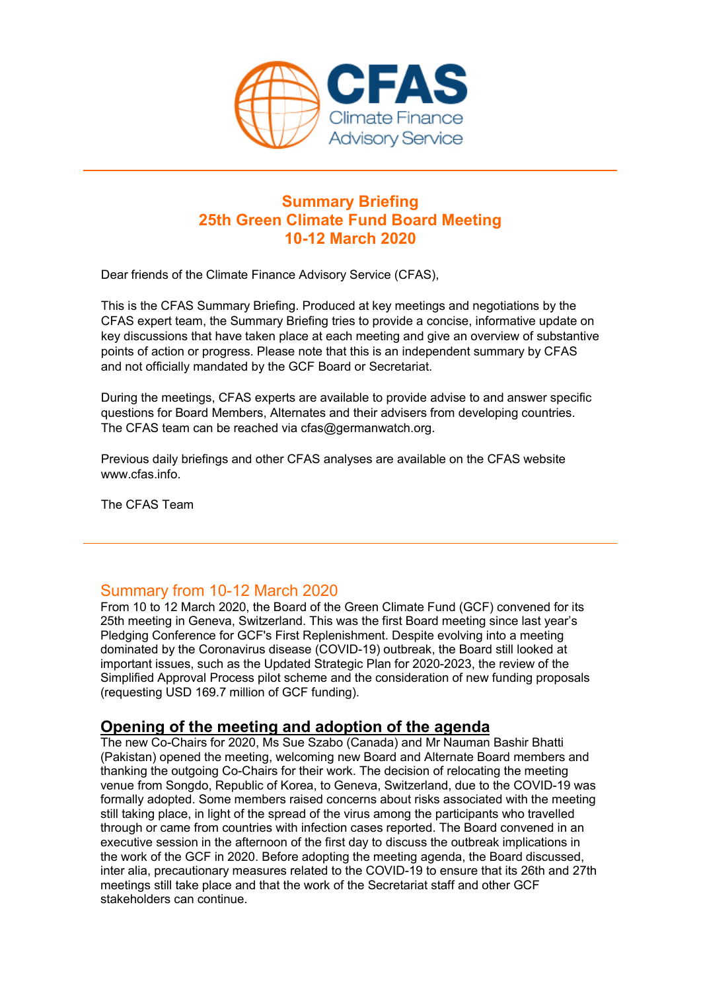

# **Summary Briefing 25th Green Climate Fund Board Meeting 10-12 March 2020**

Dear friends of the Climate Finance Advisory Service (CFAS),

This is the CFAS Summary Briefing. Produced at key meetings and negotiations by the CFAS expert team, the Summary Briefing tries to provide a concise, informative update on key discussions that have taken place at each meeting and give an overview of substantive points of action or progress. Please note that this is an independent summary by CFAS and not officially mandated by the GCF Board or Secretariat.

During the meetings, CFAS experts are available to provide advise to and answer specific questions for Board Members, Alternates and their advisers from developing countries. The CFAS team can be reached via cfas@germanwatch.org.

Previous daily briefings and other CFAS analyses are available on the CFAS website www.cfas.info.

The CFAS Team

### Summary from 10-12 March 2020

From 10 to 12 March 2020, the Board of the Green Climate Fund (GCF) convened for its 25th meeting in Geneva, Switzerland. This was the first Board meeting since last year's Pledging Conference for GCF's First Replenishment. Despite evolving into a meeting dominated by the Coronavirus disease (COVID-19) outbreak, the Board still looked at important issues, such as the Updated Strategic Plan for 2020-2023, the review of the Simplified Approval Process pilot scheme and the consideration of new funding proposals (requesting USD 169.7 million of GCF funding).

### **Opening of the meeting and adoption of the agenda**

The new Co-Chairs for 2020, Ms Sue Szabo (Canada) and Mr Nauman Bashir Bhatti (Pakistan) opened the meeting, welcoming new Board and Alternate Board members and thanking the outgoing Co-Chairs for their work. The decision of relocating the meeting venue from Songdo, Republic of Korea, to Geneva, Switzerland, due to the COVID-19 was formally adopted. Some members raised concerns about risks associated with the meeting still taking place, in light of the spread of the virus among the participants who travelled through or came from countries with infection cases reported. The Board convened in an executive session in the afternoon of the first day to discuss the outbreak implications in the work of the GCF in 2020. Before adopting the meeting agenda, the Board discussed, inter alia, precautionary measures related to the COVID-19 to ensure that its 26th and 27th meetings still take place and that the work of the Secretariat staff and other GCF stakeholders can continue.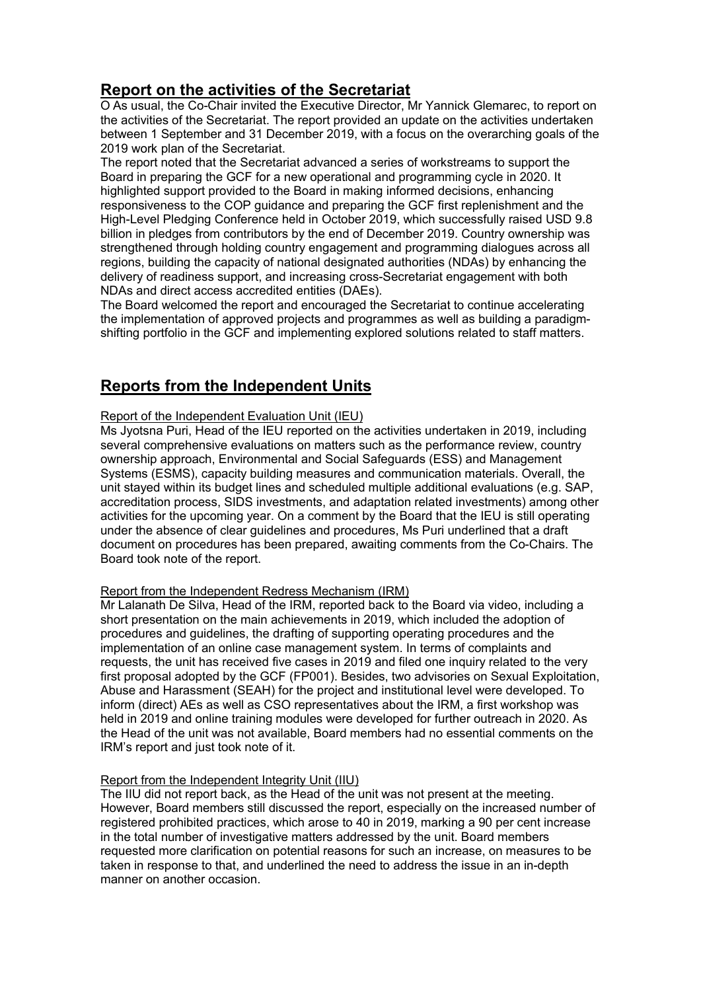# **Report on the activities of the Secretariat**

O As usual, the Co-Chair invited the Executive Director, Mr Yannick Glemarec, to report on the activities of the Secretariat. The report provided an update on the activities undertaken between 1 September and 31 December 2019, with a focus on the overarching goals of the 2019 work plan of the Secretariat.

The report noted that the Secretariat advanced a series of workstreams to support the Board in preparing the GCF for a new operational and programming cycle in 2020. It highlighted support provided to the Board in making informed decisions, enhancing responsiveness to the COP guidance and preparing the GCF first replenishment and the High-Level Pledging Conference held in October 2019, which successfully raised USD 9.8 billion in pledges from contributors by the end of December 2019. Country ownership was strengthened through holding country engagement and programming dialogues across all regions, building the capacity of national designated authorities (NDAs) by enhancing the delivery of readiness support, and increasing cross-Secretariat engagement with both NDAs and direct access accredited entities (DAEs).

The Board welcomed the report and encouraged the Secretariat to continue accelerating the implementation of approved projects and programmes as well as building a paradigmshifting portfolio in the GCF and implementing explored solutions related to staff matters.

# **Reports from the Independent Units**

#### Report of the Independent Evaluation Unit (IEU)

Ms Jyotsna Puri, Head of the IEU reported on the activities undertaken in 2019, including several comprehensive evaluations on matters such as the performance review, country ownership approach, Environmental and Social Safeguards (ESS) and Management Systems (ESMS), capacity building measures and communication materials. Overall, the unit stayed within its budget lines and scheduled multiple additional evaluations (e.g. SAP, accreditation process, SIDS investments, and adaptation related investments) among other activities for the upcoming year. On a comment by the Board that the IEU is still operating under the absence of clear guidelines and procedures, Ms Puri underlined that a draft document on procedures has been prepared, awaiting comments from the Co-Chairs. The Board took note of the report.

#### Report from the Independent Redress Mechanism (IRM)

Mr Lalanath De Silva, Head of the IRM, reported back to the Board via video, including a short presentation on the main achievements in 2019, which included the adoption of procedures and guidelines, the drafting of supporting operating procedures and the implementation of an online case management system. In terms of complaints and requests, the unit has received five cases in 2019 and filed one inquiry related to the very first proposal adopted by the GCF (FP001). Besides, two advisories on Sexual Exploitation, Abuse and Harassment (SEAH) for the project and institutional level were developed. To inform (direct) AEs as well as CSO representatives about the IRM, a first workshop was held in 2019 and online training modules were developed for further outreach in 2020. As the Head of the unit was not available, Board members had no essential comments on the IRM's report and just took note of it.

#### Report from the Independent Integrity Unit (IIU)

The IIU did not report back, as the Head of the unit was not present at the meeting. However, Board members still discussed the report, especially on the increased number of registered prohibited practices, which arose to 40 in 2019, marking a 90 per cent increase in the total number of investigative matters addressed by the unit. Board members requested more clarification on potential reasons for such an increase, on measures to be taken in response to that, and underlined the need to address the issue in an in-depth manner on another occasion.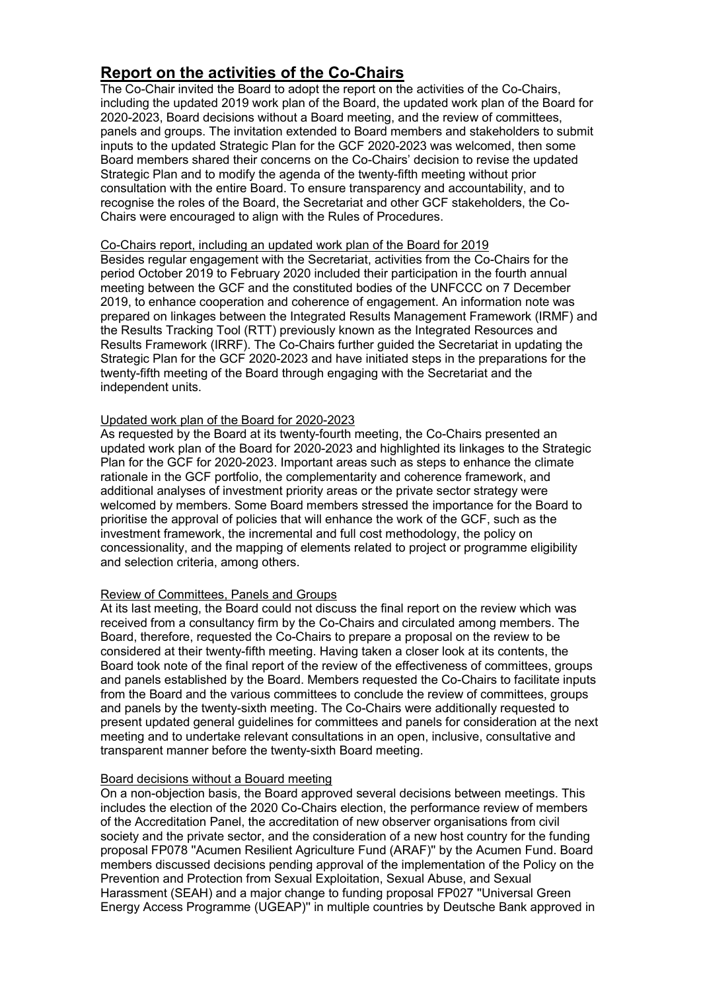# **Report on the activities of the Co-Chairs**

The Co-Chair invited the Board to adopt the report on the activities of the Co-Chairs, including the updated 2019 work plan of the Board, the updated work plan of the Board for 2020-2023, Board decisions without a Board meeting, and the review of committees, panels and groups. The invitation extended to Board members and stakeholders to submit inputs to the updated Strategic Plan for the GCF 2020-2023 was welcomed, then some Board members shared their concerns on the Co-Chairs' decision to revise the updated Strategic Plan and to modify the agenda of the twenty-fifth meeting without prior consultation with the entire Board. To ensure transparency and accountability, and to recognise the roles of the Board, the Secretariat and other GCF stakeholders, the Co-Chairs were encouraged to align with the Rules of Procedures.

#### Co-Chairs report, including an updated work plan of the Board for 2019

Besides regular engagement with the Secretariat, activities from the Co-Chairs for the period October 2019 to February 2020 included their participation in the fourth annual meeting between the GCF and the constituted bodies of the UNFCCC on 7 December 2019, to enhance cooperation and coherence of engagement. An information note was prepared on linkages between the Integrated Results Management Framework (IRMF) and the Results Tracking Tool (RTT) previously known as the Integrated Resources and Results Framework (IRRF). The Co-Chairs further guided the Secretariat in updating the Strategic Plan for the GCF 2020-2023 and have initiated steps in the preparations for the twenty-fifth meeting of the Board through engaging with the Secretariat and the independent units.

#### Updated work plan of the Board for 2020-2023

As requested by the Board at its twenty-fourth meeting, the Co-Chairs presented an updated work plan of the Board for 2020-2023 and highlighted its linkages to the Strategic Plan for the GCF for 2020-2023. Important areas such as steps to enhance the climate rationale in the GCF portfolio, the complementarity and coherence framework, and additional analyses of investment priority areas or the private sector strategy were welcomed by members. Some Board members stressed the importance for the Board to prioritise the approval of policies that will enhance the work of the GCF, such as the investment framework, the incremental and full cost methodology, the policy on concessionality, and the mapping of elements related to project or programme eligibility and selection criteria, among others.

#### Review of Committees, Panels and Groups

At its last meeting, the Board could not discuss the final report on the review which was received from a consultancy firm by the Co-Chairs and circulated among members. The Board, therefore, requested the Co-Chairs to prepare a proposal on the review to be considered at their twenty-fifth meeting. Having taken a closer look at its contents, the Board took note of the final report of the review of the effectiveness of committees, groups and panels established by the Board. Members requested the Co-Chairs to facilitate inputs from the Board and the various committees to conclude the review of committees, groups and panels by the twenty-sixth meeting. The Co-Chairs were additionally requested to present updated general guidelines for committees and panels for consideration at the next meeting and to undertake relevant consultations in an open, inclusive, consultative and transparent manner before the twenty-sixth Board meeting.

#### Board decisions without a Bouard meeting

On a non-objection basis, the Board approved several decisions between meetings. This includes the election of the 2020 Co-Chairs election, the performance review of members of the Accreditation Panel, the accreditation of new observer organisations from civil society and the private sector, and the consideration of a new host country for the funding proposal FP078 ''Acumen Resilient Agriculture Fund (ARAF)'' by the Acumen Fund. Board members discussed decisions pending approval of the implementation of the Policy on the Prevention and Protection from Sexual Exploitation, Sexual Abuse, and Sexual Harassment (SEAH) and a major change to funding proposal FP027 ''Universal Green Energy Access Programme (UGEAP)'' in multiple countries by Deutsche Bank approved in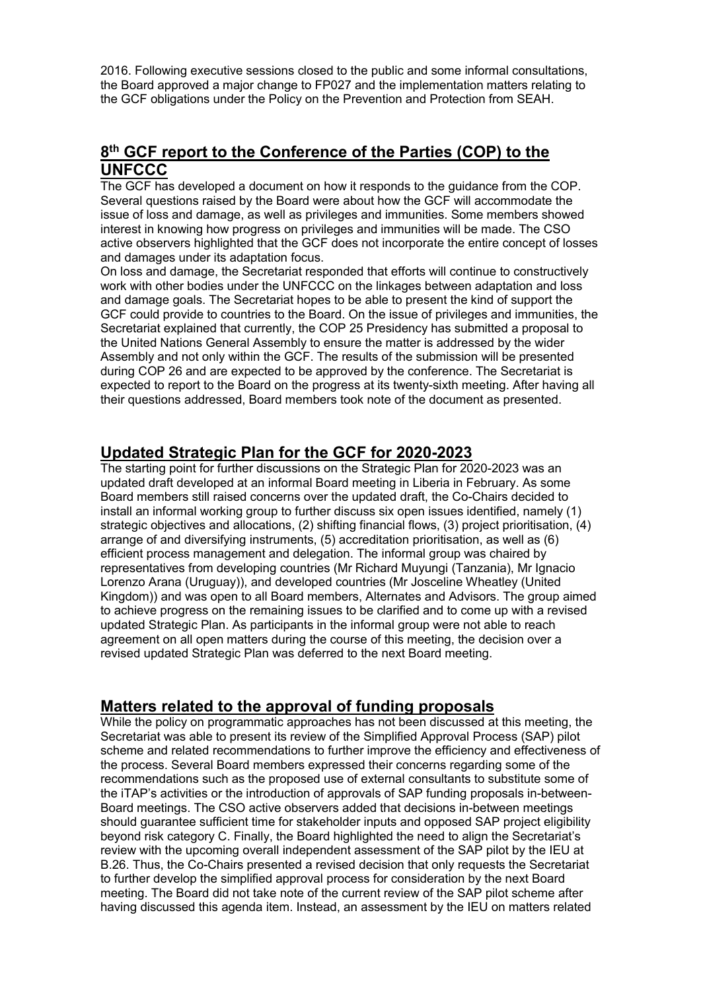2016. Following executive sessions closed to the public and some informal consultations, the Board approved a major change to FP027 and the implementation matters relating to the GCF obligations under the Policy on the Prevention and Protection from SEAH.

# **8th GCF report to the Conference of the Parties (COP) to the UNFCCC**

The GCF has developed a document on how it responds to the guidance from the COP. Several questions raised by the Board were about how the GCF will accommodate the issue of loss and damage, as well as privileges and immunities. Some members showed interest in knowing how progress on privileges and immunities will be made. The CSO active observers highlighted that the GCF does not incorporate the entire concept of losses and damages under its adaptation focus.

On loss and damage, the Secretariat responded that efforts will continue to constructively work with other bodies under the UNFCCC on the linkages between adaptation and loss and damage goals. The Secretariat hopes to be able to present the kind of support the GCF could provide to countries to the Board. On the issue of privileges and immunities, the Secretariat explained that currently, the COP 25 Presidency has submitted a proposal to the United Nations General Assembly to ensure the matter is addressed by the wider Assembly and not only within the GCF. The results of the submission will be presented during COP 26 and are expected to be approved by the conference. The Secretariat is expected to report to the Board on the progress at its twenty-sixth meeting. After having all their questions addressed, Board members took note of the document as presented.

# **Updated Strategic Plan for the GCF for 2020-2023**

The starting point for further discussions on the Strategic Plan for 2020-2023 was an updated draft developed at an informal Board meeting in Liberia in February. As some Board members still raised concerns over the updated draft, the Co-Chairs decided to install an informal working group to further discuss six open issues identified, namely (1) strategic objectives and allocations, (2) shifting financial flows, (3) project prioritisation, (4) arrange of and diversifying instruments, (5) accreditation prioritisation, as well as (6) efficient process management and delegation. The informal group was chaired by representatives from developing countries (Mr Richard Muyungi (Tanzania), Mr Ignacio Lorenzo Arana (Uruguay)), and developed countries (Mr Josceline Wheatley (United Kingdom)) and was open to all Board members, Alternates and Advisors. The group aimed to achieve progress on the remaining issues to be clarified and to come up with a revised updated Strategic Plan. As participants in the informal group were not able to reach agreement on all open matters during the course of this meeting, the decision over a revised updated Strategic Plan was deferred to the next Board meeting.

# **Matters related to the approval of funding proposals**

While the policy on programmatic approaches has not been discussed at this meeting, the Secretariat was able to present its review of the Simplified Approval Process (SAP) pilot scheme and related recommendations to further improve the efficiency and effectiveness of the process. Several Board members expressed their concerns regarding some of the recommendations such as the proposed use of external consultants to substitute some of the iTAP's activities or the introduction of approvals of SAP funding proposals in-between-Board meetings. The CSO active observers added that decisions in-between meetings should guarantee sufficient time for stakeholder inputs and opposed SAP project eligibility beyond risk category C. Finally, the Board highlighted the need to align the Secretariat's review with the upcoming overall independent assessment of the SAP pilot by the IEU at B.26. Thus, the Co-Chairs presented a revised decision that only requests the Secretariat to further develop the simplified approval process for consideration by the next Board meeting. The Board did not take note of the current review of the SAP pilot scheme after having discussed this agenda item. Instead, an assessment by the IEU on matters related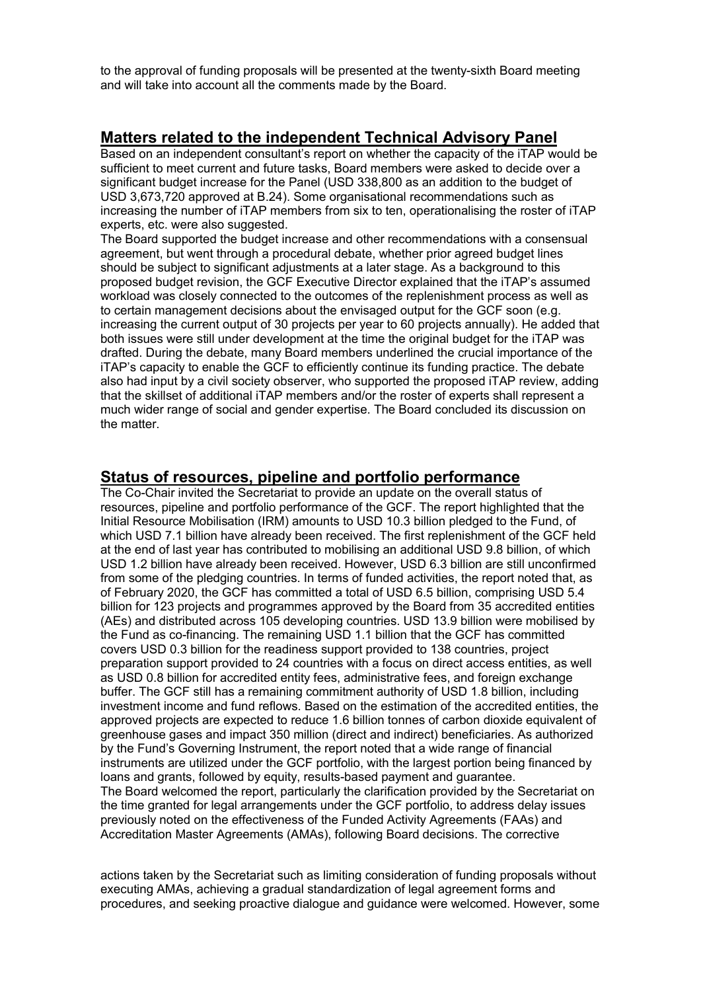to the approval of funding proposals will be presented at the twenty-sixth Board meeting and will take into account all the comments made by the Board.

### **Matters related to the independent Technical Advisory Panel**

Based on an independent consultant's report on whether the capacity of the iTAP would be sufficient to meet current and future tasks, Board members were asked to decide over a significant budget increase for the Panel (USD 338,800 as an addition to the budget of USD 3,673,720 approved at B.24). Some organisational recommendations such as increasing the number of iTAP members from six to ten, operationalising the roster of iTAP experts, etc. were also suggested.

The Board supported the budget increase and other recommendations with a consensual agreement, but went through a procedural debate, whether prior agreed budget lines should be subject to significant adjustments at a later stage. As a background to this proposed budget revision, the GCF Executive Director explained that the iTAP's assumed workload was closely connected to the outcomes of the replenishment process as well as to certain management decisions about the envisaged output for the GCF soon (e.g. increasing the current output of 30 projects per year to 60 projects annually). He added that both issues were still under development at the time the original budget for the iTAP was drafted. During the debate, many Board members underlined the crucial importance of the iTAP's capacity to enable the GCF to efficiently continue its funding practice. The debate also had input by a civil society observer, who supported the proposed iTAP review, adding that the skillset of additional iTAP members and/or the roster of experts shall represent a much wider range of social and gender expertise. The Board concluded its discussion on the matter.

### **Status of resources, pipeline and portfolio performance**

The Co-Chair invited the Secretariat to provide an update on the overall status of resources, pipeline and portfolio performance of the GCF. The report highlighted that the Initial Resource Mobilisation (IRM) amounts to USD 10.3 billion pledged to the Fund, of which USD 7.1 billion have already been received. The first replenishment of the GCF held at the end of last year has contributed to mobilising an additional USD 9.8 billion, of which USD 1.2 billion have already been received. However, USD 6.3 billion are still unconfirmed from some of the pledging countries. In terms of funded activities, the report noted that, as of February 2020, the GCF has committed a total of USD 6.5 billion, comprising USD 5.4 billion for 123 projects and programmes approved by the Board from 35 accredited entities (AEs) and distributed across 105 developing countries. USD 13.9 billion were mobilised by the Fund as co-financing. The remaining USD 1.1 billion that the GCF has committed covers USD 0.3 billion for the readiness support provided to 138 countries, project preparation support provided to 24 countries with a focus on direct access entities, as well as USD 0.8 billion for accredited entity fees, administrative fees, and foreign exchange buffer. The GCF still has a remaining commitment authority of USD 1.8 billion, including investment income and fund reflows. Based on the estimation of the accredited entities, the approved projects are expected to reduce 1.6 billion tonnes of carbon dioxide equivalent of greenhouse gases and impact 350 million (direct and indirect) beneficiaries. As authorized by the Fund's Governing Instrument, the report noted that a wide range of financial instruments are utilized under the GCF portfolio, with the largest portion being financed by loans and grants, followed by equity, results-based payment and guarantee. The Board welcomed the report, particularly the clarification provided by the Secretariat on the time granted for legal arrangements under the GCF portfolio, to address delay issues previously noted on the effectiveness of the Funded Activity Agreements (FAAs) and Accreditation Master Agreements (AMAs), following Board decisions. The corrective

actions taken by the Secretariat such as limiting consideration of funding proposals without executing AMAs, achieving a gradual standardization of legal agreement forms and procedures, and seeking proactive dialogue and guidance were welcomed. However, some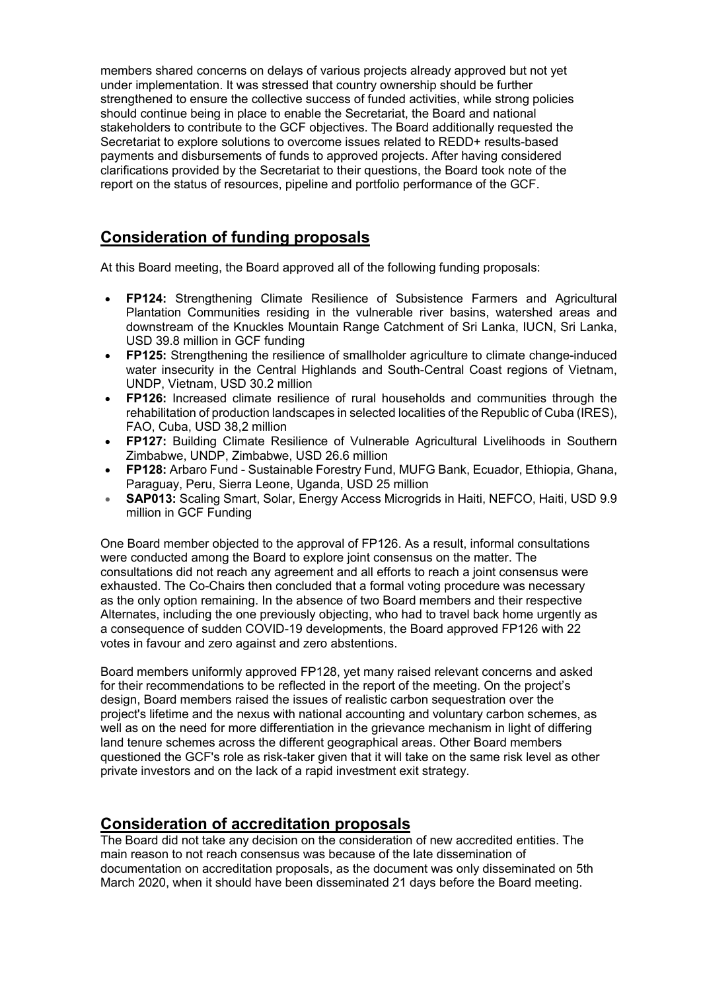members shared concerns on delays of various projects already approved but not yet under implementation. It was stressed that country ownership should be further strengthened to ensure the collective success of funded activities, while strong policies should continue being in place to enable the Secretariat, the Board and national stakeholders to contribute to the GCF objectives. The Board additionally requested the Secretariat to explore solutions to overcome issues related to REDD+ results-based payments and disbursements of funds to approved projects. After having considered clarifications provided by the Secretariat to their questions, the Board took note of the report on the status of resources, pipeline and portfolio performance of the GCF.

### **Consideration of funding proposals**

At this Board meeting, the Board approved all of the following funding proposals:

- **FP124:** Strengthening Climate Resilience of Subsistence Farmers and Agricultural Plantation Communities residing in the vulnerable river basins, watershed areas and downstream of the Knuckles Mountain Range Catchment of Sri Lanka, IUCN, Sri Lanka, USD 39.8 million in GCF funding
- **FP125:** Strengthening the resilience of smallholder agriculture to climate change-induced water insecurity in the Central Highlands and South-Central Coast regions of Vietnam, UNDP, Vietnam, USD 30.2 million
- **FP126:** Increased climate resilience of rural households and communities through the rehabilitation of production landscapes in selected localities of the Republic of Cuba (IRES), FAO, Cuba, USD 38,2 million
- **FP127:** Building Climate Resilience of Vulnerable Agricultural Livelihoods in Southern Zimbabwe, UNDP, Zimbabwe, USD 26.6 million
- **FP128:** Arbaro Fund Sustainable Forestry Fund, MUFG Bank, Ecuador, Ethiopia, Ghana, Paraguay, Peru, Sierra Leone, Uganda, USD 25 million
- **SAP013:** Scaling Smart, Solar, Energy Access Microgrids in Haiti, NEFCO, Haiti, USD 9.9 million in GCF Funding

One Board member objected to the approval of FP126. As a result, informal consultations were conducted among the Board to explore joint consensus on the matter. The consultations did not reach any agreement and all efforts to reach a joint consensus were exhausted. The Co-Chairs then concluded that a formal voting procedure was necessary as the only option remaining. In the absence of two Board members and their respective Alternates, including the one previously objecting, who had to travel back home urgently as a consequence of sudden COVID-19 developments, the Board approved FP126 with 22 votes in favour and zero against and zero abstentions.

Board members uniformly approved FP128, yet many raised relevant concerns and asked for their recommendations to be reflected in the report of the meeting. On the project's design, Board members raised the issues of realistic carbon sequestration over the project's lifetime and the nexus with national accounting and voluntary carbon schemes, as well as on the need for more differentiation in the grievance mechanism in light of differing land tenure schemes across the different geographical areas. Other Board members questioned the GCF's role as risk-taker given that it will take on the same risk level as other private investors and on the lack of a rapid investment exit strategy.

### **Consideration of accreditation proposals**

The Board did not take any decision on the consideration of new accredited entities. The main reason to not reach consensus was because of the late dissemination of documentation on accreditation proposals, as the document was only disseminated on 5th March 2020, when it should have been disseminated 21 days before the Board meeting.